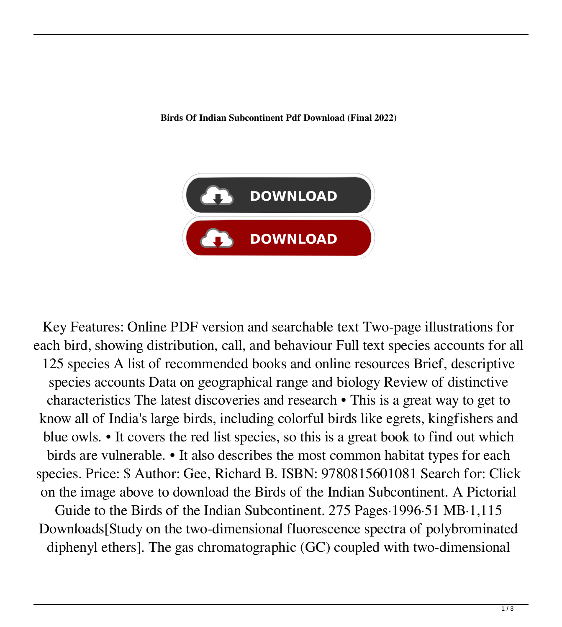## **Birds Of Indian Subcontinent Pdf Download (Final 2022)**



Key Features: Online PDF version and searchable text Two-page illustrations for each bird, showing distribution, call, and behaviour Full text species accounts for all 125 species A list of recommended books and online resources Brief, descriptive species accounts Data on geographical range and biology Review of distinctive characteristics The latest discoveries and research • This is a great way to get to know all of India's large birds, including colorful birds like egrets, kingfishers and blue owls. • It covers the red list species, so this is a great book to find out which birds are vulnerable. • It also describes the most common habitat types for each species. Price: \$ Author: Gee, Richard B. ISBN: 9780815601081 Search for: Click on the image above to download the Birds of the Indian Subcontinent. A Pictorial Guide to the Birds of the Indian Subcontinent. 275 Pages·1996·51 MB·1,115 Downloads[Study on the two-dimensional fluorescence spectra of polybrominated diphenyl ethers]. The gas chromatographic (GC) coupled with two-dimensional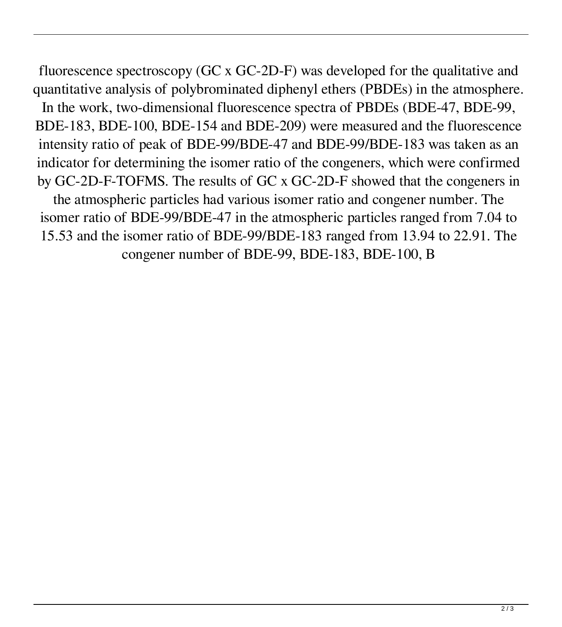fluorescence spectroscopy (GC x GC-2D-F) was developed for the qualitative and quantitative analysis of polybrominated diphenyl ethers (PBDEs) in the atmosphere. In the work, two-dimensional fluorescence spectra of PBDEs (BDE-47, BDE-99, BDE-183, BDE-100, BDE-154 and BDE-209) were measured and the fluorescence intensity ratio of peak of BDE-99/BDE-47 and BDE-99/BDE-183 was taken as an indicator for determining the isomer ratio of the congeners, which were confirmed by GC-2D-F-TOFMS. The results of GC x GC-2D-F showed that the congeners in

the atmospheric particles had various isomer ratio and congener number. The isomer ratio of BDE-99/BDE-47 in the atmospheric particles ranged from 7.04 to 15.53 and the isomer ratio of BDE-99/BDE-183 ranged from 13.94 to 22.91. The congener number of BDE-99, BDE-183, BDE-100, B